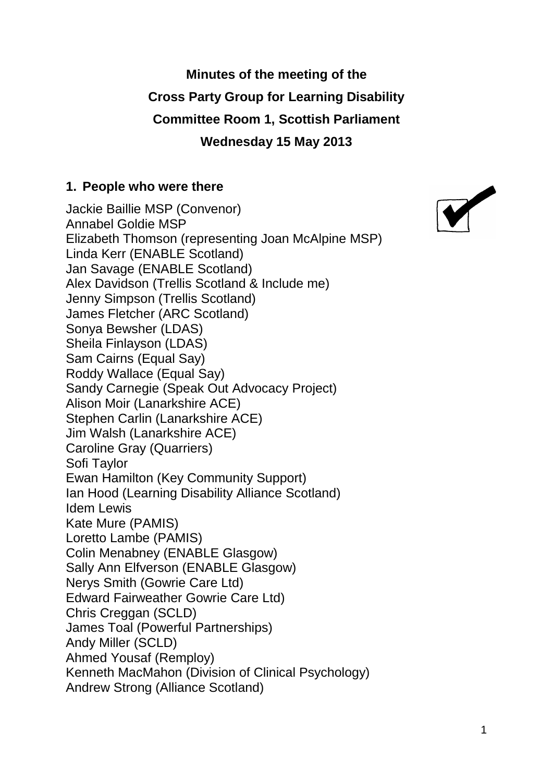# **Minutes of the meeting of the Cross Party Group for Learning Disability Committee Room 1, Scottish Parliament Wednesday 15 May 2013**

#### **1. People who were there**

Jackie Baillie MSP (Convenor) Annabel Goldie MSP Elizabeth Thomson (representing Joan McAlpine MSP) Linda Kerr (ENABLE Scotland) Jan Savage (ENABLE Scotland) Alex Davidson (Trellis Scotland & Include me) Jenny Simpson (Trellis Scotland) James Fletcher (ARC Scotland) Sonya Bewsher (LDAS) Sheila Finlayson (LDAS) Sam Cairns (Equal Say) Roddy Wallace (Equal Say) Sandy Carnegie (Speak Out Advocacy Project) Alison Moir (Lanarkshire ACE) Stephen Carlin (Lanarkshire ACE) Jim Walsh (Lanarkshire ACE) Caroline Gray (Quarriers) Sofi Taylor Ewan Hamilton (Key Community Support) Ian Hood (Learning Disability Alliance Scotland) Idem Lewis Kate Mure (PAMIS) Loretto Lambe (PAMIS) Colin Menabney (ENABLE Glasgow) Sally Ann Elfverson (ENABLE Glasgow) Nerys Smith (Gowrie Care Ltd) Edward Fairweather Gowrie Care Ltd) Chris Creggan (SCLD) James Toal (Powerful Partnerships) Andy Miller (SCLD) Ahmed Yousaf (Remploy) Kenneth MacMahon (Division of Clinical Psychology) Andrew Strong (Alliance Scotland)

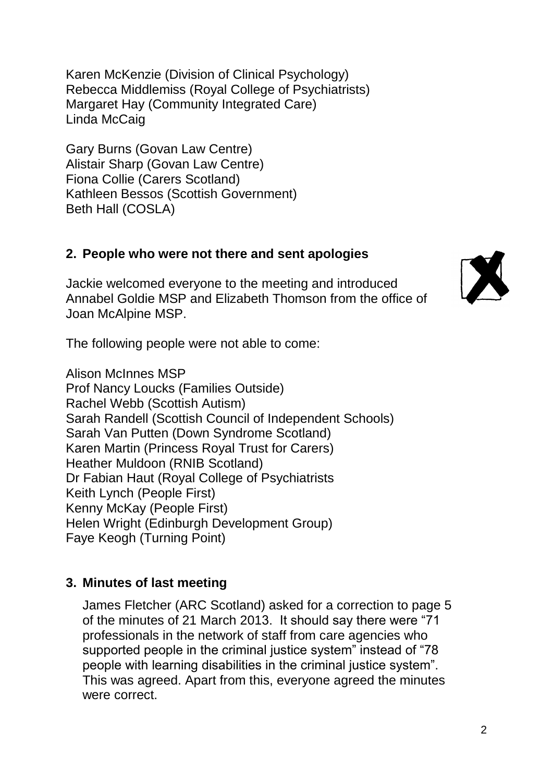Karen McKenzie (Division of Clinical Psychology) Rebecca Middlemiss (Royal College of Psychiatrists) Margaret Hay (Community Integrated Care) Linda McCaig

Gary Burns (Govan Law Centre) Alistair Sharp (Govan Law Centre) Fiona Collie (Carers Scotland) Kathleen Bessos (Scottish Government) Beth Hall (COSLA)

## **2. People who were not there and sent apologies**

Jackie welcomed everyone to the meeting and introduced Annabel Goldie MSP and Elizabeth Thomson from the office of Joan McAlpine MSP.

The following people were not able to come:

Alison McInnes MSP Prof Nancy Loucks (Families Outside) Rachel Webb (Scottish Autism) Sarah Randell (Scottish Council of Independent Schools) Sarah Van Putten (Down Syndrome Scotland) Karen Martin (Princess Royal Trust for Carers) Heather Muldoon (RNIB Scotland) Dr Fabian Haut (Royal College of Psychiatrists Keith Lynch (People First) Kenny McKay (People First) Helen Wright (Edinburgh Development Group) Faye Keogh (Turning Point)

#### **3. Minutes of last meeting**

James Fletcher (ARC Scotland) asked for a correction to page 5 of the minutes of 21 March 2013. It should say there were "71 professionals in the network of staff from care agencies who supported people in the criminal justice system" instead of "78 people with learning disabilities in the criminal justice system". This was agreed. Apart from this, everyone agreed the minutes were correct.

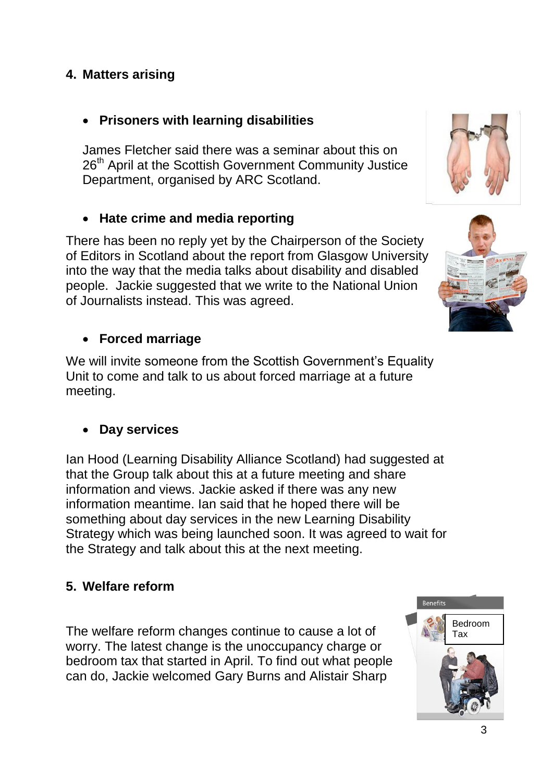### **4. Matters arising**

### **Prisoners with learning disabilities**

James Fletcher said there was a seminar about this on 26<sup>th</sup> April at the Scottish Government Community Justice Department, organised by ARC Scotland.

### **Hate crime and media reporting**

There has been no reply yet by the Chairperson of the Society of Editors in Scotland about the report from Glasgow University into the way that the media talks about disability and disabled people. Jackie suggested that we write to the National Union of Journalists instead. This was agreed.

### **Forced marriage**

We will invite someone from the Scottish Government's Equality Unit to come and talk to us about forced marriage at a future meeting.

#### **Day services**

Ian Hood (Learning Disability Alliance Scotland) had suggested at that the Group talk about this at a future meeting and share information and views. Jackie asked if there was any new information meantime. Ian said that he hoped there will be something about day services in the new Learning Disability Strategy which was being launched soon. It was agreed to wait for the Strategy and talk about this at the next meeting.

#### **5. Welfare reform**

The welfare reform changes continue to cause a lot of worry. The latest change is the unoccupancy charge or bedroom tax that started in April. To find out what people can do, Jackie welcomed Gary Burns and Alistair Sharp



Benefits



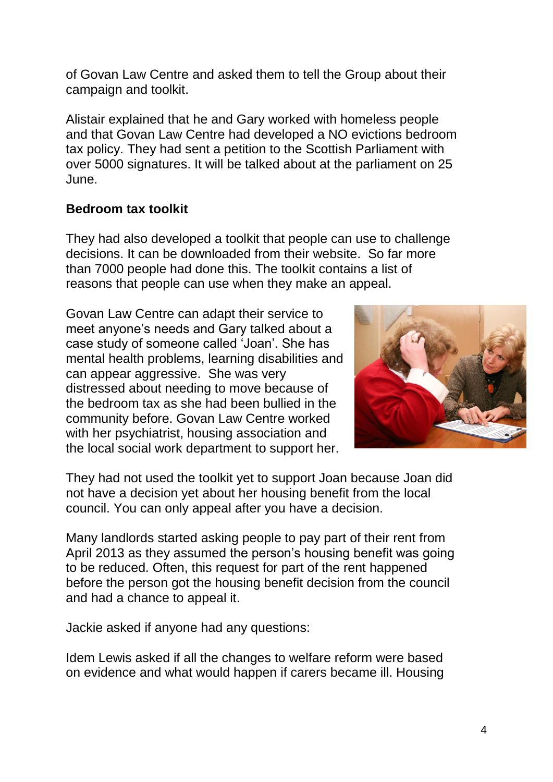of Govan Law Centre and asked them to tell the Group about their campaign and toolkit.

Alistair explained that he and Gary worked with homeless people and that Govan Law Centre had developed a NO evictions bedroom tax policy. They had sent a petition to the Scottish Parliament with over 5000 signatures. It will be talked about at the parliament on 25 June.

### **Bedroom tax toolkit**

They had also developed a toolkit that people can use to challenge decisions. It can be downloaded from their website. So far more than 7000 people had done this. The toolkit contains a list of reasons that people can use when they make an appeal.

Govan Law Centre can adapt their service to meet anyone's needs and Gary talked about a case study of someone called 'Joan'. She has mental health problems, learning disabilities and can appear aggressive. She was very distressed about needing to move because of the bedroom tax as she had been bullied in the community before. Govan Law Centre worked with her psychiatrist, housing association and the local social work department to support her.



They had not used the toolkit yet to support Joan because Joan did not have a decision yet about her housing benefit from the local council. You can only appeal after you have a decision.

Many landlords started asking people to pay part of their rent from April 2013 as they assumed the person's housing benefit was going to be reduced. Often, this request for part of the rent happened before the person got the housing benefit decision from the council and had a chance to appeal it.

Jackie asked if anyone had any questions:

Idem Lewis asked if all the changes to welfare reform were based on evidence and what would happen if carers became ill. Housing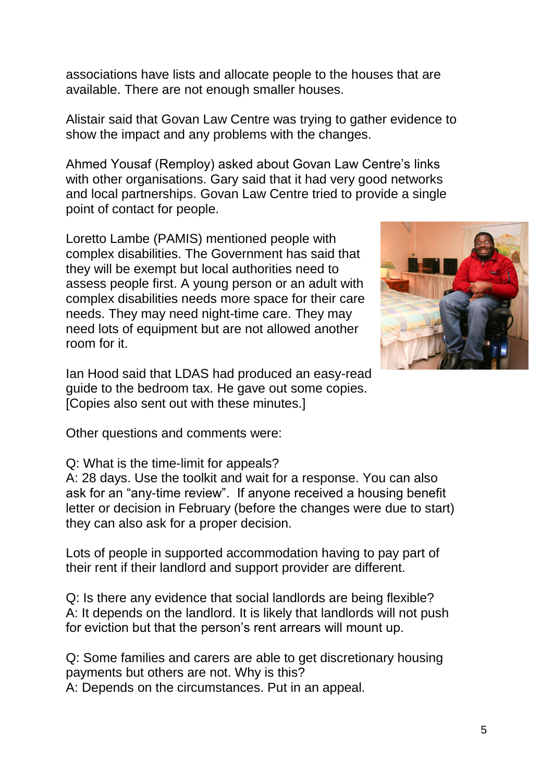associations have lists and allocate people to the houses that are available. There are not enough smaller houses.

Alistair said that Govan Law Centre was trying to gather evidence to show the impact and any problems with the changes.

Ahmed Yousaf (Remploy) asked about Govan Law Centre's links with other organisations. Gary said that it had very good networks and local partnerships. Govan Law Centre tried to provide a single point of contact for people.

Loretto Lambe (PAMIS) mentioned people with complex disabilities. The Government has said that they will be exempt but local authorities need to assess people first. A young person or an adult with complex disabilities needs more space for their care needs. They may need night-time care. They may need lots of equipment but are not allowed another room for it.



Other questions and comments were:

#### Q: What is the time-limit for appeals?

A: 28 days. Use the toolkit and wait for a response. You can also ask for an "any-time review". If anyone received a housing benefit letter or decision in February (before the changes were due to start) they can also ask for a proper decision.

Lots of people in supported accommodation having to pay part of their rent if their landlord and support provider are different.

Q: Is there any evidence that social landlords are being flexible? A: It depends on the landlord. It is likely that landlords will not push for eviction but that the person's rent arrears will mount up.

Q: Some families and carers are able to get discretionary housing payments but others are not. Why is this? A: Depends on the circumstances. Put in an appeal.

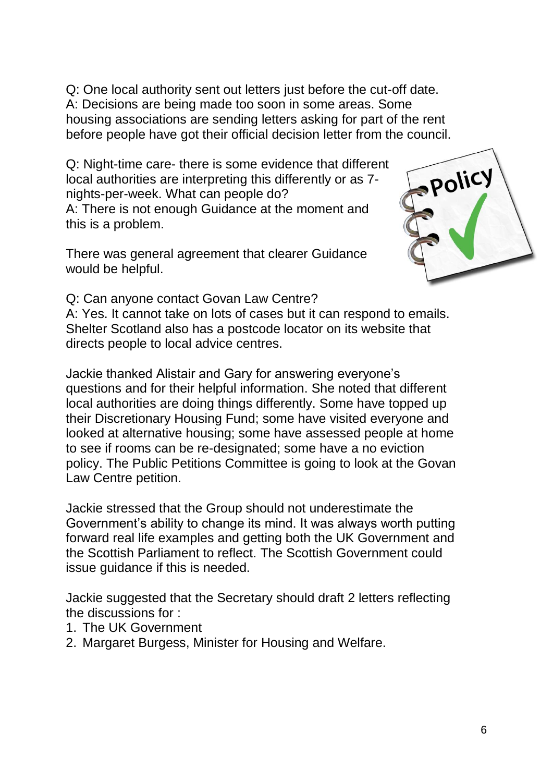Q: One local authority sent out letters just before the cut-off date. A: Decisions are being made too soon in some areas. Some housing associations are sending letters asking for part of the rent before people have got their official decision letter from the council.

Q: Night-time care- there is some evidence that different local authorities are interpreting this differently or as 7 nights-per-week. What can people do?

A: There is not enough Guidance at the moment and this is a problem.

There was general agreement that clearer Guidance would be helpful.



Q: Can anyone contact Govan Law Centre?

A: Yes. It cannot take on lots of cases but it can respond to emails. Shelter Scotland also has a postcode locator on its website that directs people to local advice centres.

Jackie thanked Alistair and Gary for answering everyone's questions and for their helpful information. She noted that different local authorities are doing things differently. Some have topped up their Discretionary Housing Fund; some have visited everyone and looked at alternative housing; some have assessed people at home to see if rooms can be re-designated; some have a no eviction policy. The Public Petitions Committee is going to look at the Govan Law Centre petition.

Jackie stressed that the Group should not underestimate the Government's ability to change its mind. It was always worth putting forward real life examples and getting both the UK Government and the Scottish Parliament to reflect. The Scottish Government could issue guidance if this is needed.

Jackie suggested that the Secretary should draft 2 letters reflecting the discussions for :

- 1. The UK Government
- 2. Margaret Burgess, Minister for Housing and Welfare.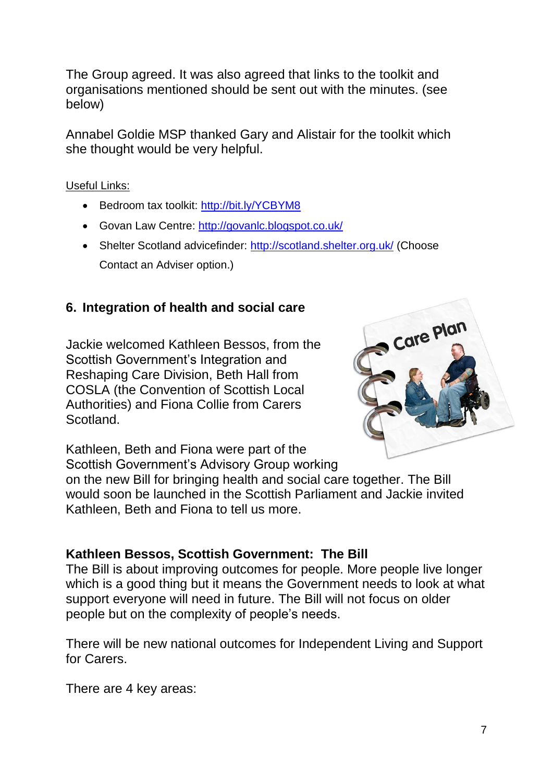The Group agreed. It was also agreed that links to the toolkit and organisations mentioned should be sent out with the minutes. (see below)

Annabel Goldie MSP thanked Gary and Alistair for the toolkit which she thought would be very helpful.

Useful Links:

- Bedroom tax toolkit:<http://bit.ly/YCBYM8>
- Govan Law Centre:<http://govanlc.blogspot.co.uk/>
- Shelter Scotland advicefinder:<http://scotland.shelter.org.uk/> (Choose Contact an Adviser option.)

## **6. Integration of health and social care**

Jackie welcomed Kathleen Bessos, from the Scottish Government's Integration and Reshaping Care Division, Beth Hall from COSLA (the Convention of Scottish Local Authorities) and Fiona Collie from Carers Scotland.



Kathleen, Beth and Fiona were part of the Scottish Government's Advisory Group working

on the new Bill for bringing health and social care together. The Bill would soon be launched in the Scottish Parliament and Jackie invited Kathleen, Beth and Fiona to tell us more.

## **Kathleen Bessos, Scottish Government: The Bill**

The Bill is about improving outcomes for people. More people live longer which is a good thing but it means the Government needs to look at what support everyone will need in future. The Bill will not focus on older people but on the complexity of people's needs.

There will be new national outcomes for Independent Living and Support for Carers.

There are 4 key areas: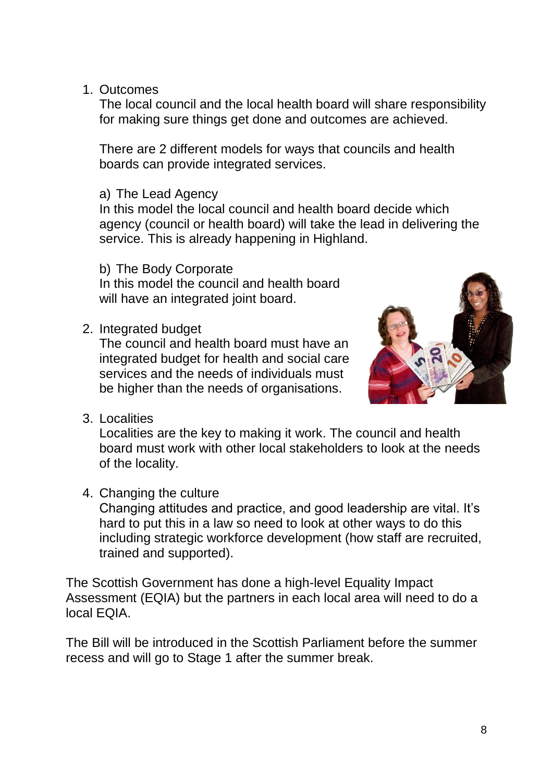1. Outcomes

The local council and the local health board will share responsibility for making sure things get done and outcomes are achieved.

There are 2 different models for ways that councils and health boards can provide integrated services.

a) The Lead Agency

In this model the local council and health board decide which agency (council or health board) will take the lead in delivering the service. This is already happening in Highland.

b) The Body Corporate

In this model the council and health board will have an integrated joint board.

2. Integrated budget

The council and health board must have an integrated budget for health and social care services and the needs of individuals must be higher than the needs of organisations.



3. Localities

Localities are the key to making it work. The council and health board must work with other local stakeholders to look at the needs of the locality.

4. Changing the culture

Changing attitudes and practice, and good leadership are vital. It's hard to put this in a law so need to look at other ways to do this including strategic workforce development (how staff are recruited, trained and supported).

The Scottish Government has done a high-level Equality Impact Assessment (EQIA) but the partners in each local area will need to do a local EQIA.

The Bill will be introduced in the Scottish Parliament before the summer recess and will go to Stage 1 after the summer break.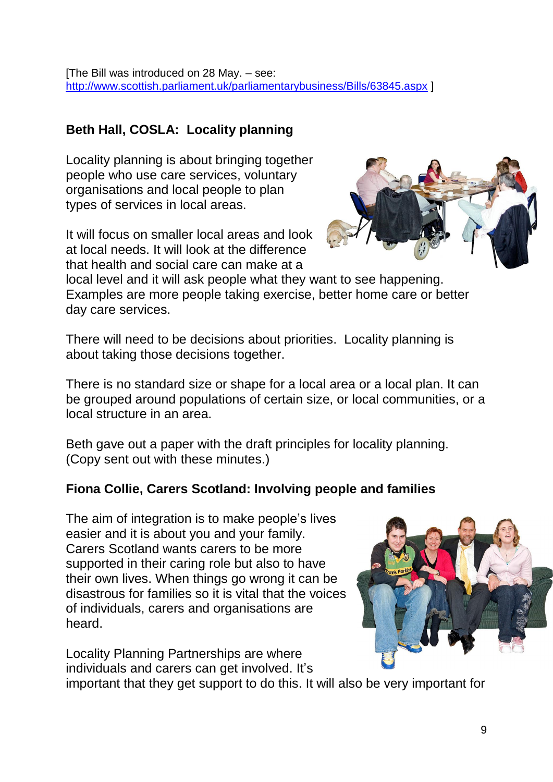[The Bill was introduced on 28 May. – see: <http://www.scottish.parliament.uk/parliamentarybusiness/Bills/63845.aspx> ]

## **Beth Hall, COSLA: Locality planning**

Locality planning is about bringing together people who use care services, voluntary organisations and local people to plan types of services in local areas.

It will focus on smaller local areas and look at local needs. It will look at the difference that health and social care can make at a

local level and it will ask people what they want to see happening. Examples are more people taking exercise, better home care or better day care services.

There will need to be decisions about priorities. Locality planning is about taking those decisions together.

There is no standard size or shape for a local area or a local plan. It can be grouped around populations of certain size, or local communities, or a local structure in an area.

Beth gave out a paper with the draft principles for locality planning. (Copy sent out with these minutes.)

#### **Fiona Collie, Carers Scotland: Involving people and families**

The aim of integration is to make people's lives easier and it is about you and your family. Carers Scotland wants carers to be more supported in their caring role but also to have their own lives. When things go wrong it can be disastrous for families so it is vital that the voices of individuals, carers and organisations are heard.

Locality Planning Partnerships are where individuals and carers can get involved. It's

important that they get support to do this. It will also be very important for



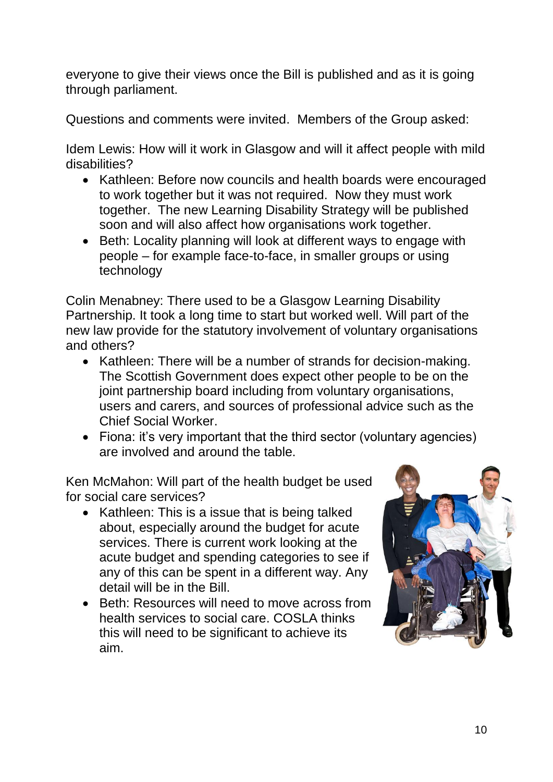everyone to give their views once the Bill is published and as it is going through parliament.

Questions and comments were invited. Members of the Group asked:

Idem Lewis: How will it work in Glasgow and will it affect people with mild disabilities?

- Kathleen: Before now councils and health boards were encouraged to work together but it was not required. Now they must work together. The new Learning Disability Strategy will be published soon and will also affect how organisations work together.
- Beth: Locality planning will look at different ways to engage with people – for example face-to-face, in smaller groups or using technology

Colin Menabney: There used to be a Glasgow Learning Disability Partnership. It took a long time to start but worked well. Will part of the new law provide for the statutory involvement of voluntary organisations and others?

- Kathleen: There will be a number of strands for decision-making. The Scottish Government does expect other people to be on the joint partnership board including from voluntary organisations, users and carers, and sources of professional advice such as the Chief Social Worker.
- Fiona: it's very important that the third sector (voluntary agencies) are involved and around the table.

Ken McMahon: Will part of the health budget be used for social care services?

- Kathleen: This is a issue that is being talked about, especially around the budget for acute services. There is current work looking at the acute budget and spending categories to see if any of this can be spent in a different way. Any detail will be in the Bill.
- Beth: Resources will need to move across from health services to social care. COSLA thinks this will need to be significant to achieve its aim.

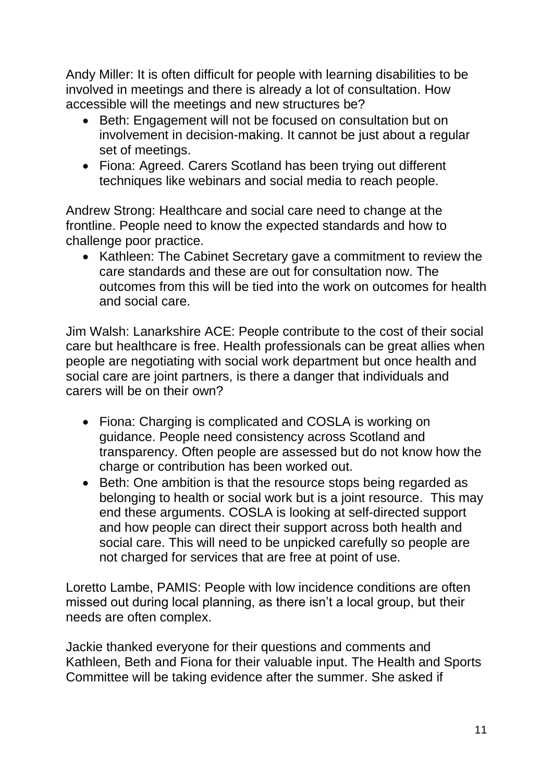Andy Miller: It is often difficult for people with learning disabilities to be involved in meetings and there is already a lot of consultation. How accessible will the meetings and new structures be?

- Beth: Engagement will not be focused on consultation but on involvement in decision-making. It cannot be just about a regular set of meetings.
- Fiona: Agreed. Carers Scotland has been trying out different techniques like webinars and social media to reach people.

Andrew Strong: Healthcare and social care need to change at the frontline. People need to know the expected standards and how to challenge poor practice.

• Kathleen: The Cabinet Secretary gave a commitment to review the care standards and these are out for consultation now. The outcomes from this will be tied into the work on outcomes for health and social care.

Jim Walsh: Lanarkshire ACE: People contribute to the cost of their social care but healthcare is free. Health professionals can be great allies when people are negotiating with social work department but once health and social care are joint partners, is there a danger that individuals and carers will be on their own?

- Fiona: Charging is complicated and COSLA is working on guidance. People need consistency across Scotland and transparency. Often people are assessed but do not know how the charge or contribution has been worked out.
- Beth: One ambition is that the resource stops being regarded as belonging to health or social work but is a joint resource. This may end these arguments. COSLA is looking at self-directed support and how people can direct their support across both health and social care. This will need to be unpicked carefully so people are not charged for services that are free at point of use.

Loretto Lambe, PAMIS: People with low incidence conditions are often missed out during local planning, as there isn't a local group, but their needs are often complex.

Jackie thanked everyone for their questions and comments and Kathleen, Beth and Fiona for their valuable input. The Health and Sports Committee will be taking evidence after the summer. She asked if